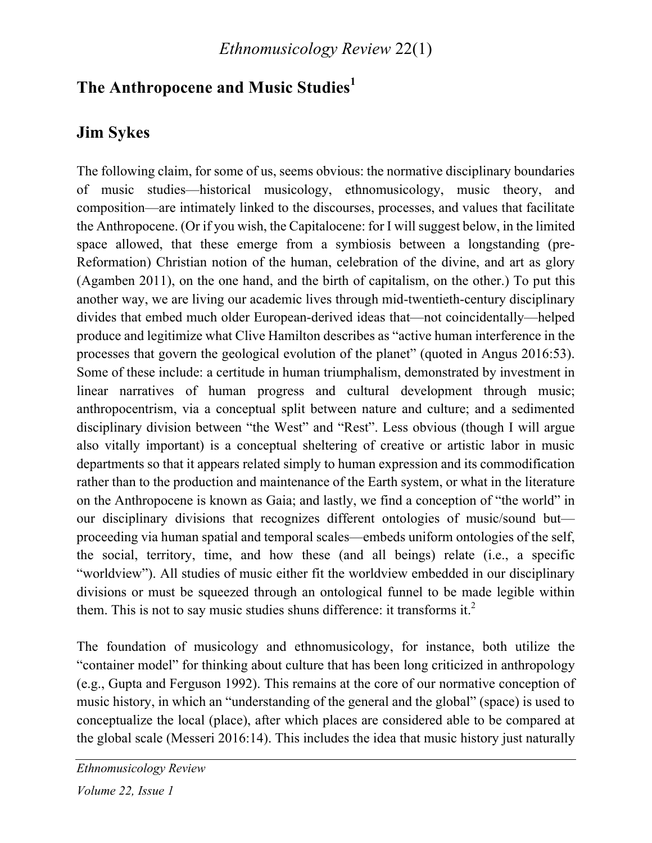# **The Anthropocene and Music Studies<sup>1</sup>**

# **Jim Sykes**

The following claim, for some of us, seems obvious: the normative disciplinary boundaries of music studies—historical musicology, ethnomusicology, music theory, and composition—are intimately linked to the discourses, processes, and values that facilitate the Anthropocene. (Or if you wish, the Capitalocene: for I will suggest below, in the limited space allowed, that these emerge from a symbiosis between a longstanding (pre-Reformation) Christian notion of the human, celebration of the divine, and art as glory (Agamben 2011), on the one hand, and the birth of capitalism, on the other.) To put this another way, we are living our academic lives through mid-twentieth-century disciplinary divides that embed much older European-derived ideas that—not coincidentally—helped produce and legitimize what Clive Hamilton describes as "active human interference in the processes that govern the geological evolution of the planet" (quoted in Angus 2016:53). Some of these include: a certitude in human triumphalism, demonstrated by investment in linear narratives of human progress and cultural development through music; anthropocentrism, via a conceptual split between nature and culture; and a sedimented disciplinary division between "the West" and "Rest". Less obvious (though I will argue also vitally important) is a conceptual sheltering of creative or artistic labor in music departments so that it appears related simply to human expression and its commodification rather than to the production and maintenance of the Earth system, or what in the literature on the Anthropocene is known as Gaia; and lastly, we find a conception of "the world" in our disciplinary divisions that recognizes different ontologies of music/sound but proceeding via human spatial and temporal scales—embeds uniform ontologies of the self, the social, territory, time, and how these (and all beings) relate (i.e., a specific "worldview"). All studies of music either fit the worldview embedded in our disciplinary divisions or must be squeezed through an ontological funnel to be made legible within them. This is not to say music studies shuns difference: it transforms it.<sup>2</sup>

The foundation of musicology and ethnomusicology, for instance, both utilize the "container model" for thinking about culture that has been long criticized in anthropology (e.g., Gupta and Ferguson 1992). This remains at the core of our normative conception of music history, in which an "understanding of the general and the global" (space) is used to conceptualize the local (place), after which places are considered able to be compared at the global scale (Messeri 2016:14). This includes the idea that music history just naturally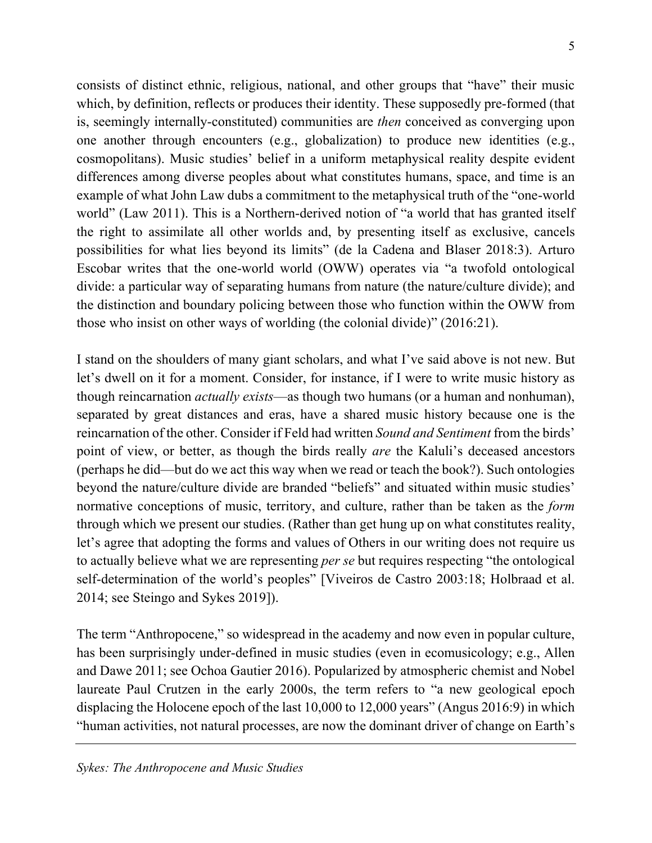consists of distinct ethnic, religious, national, and other groups that "have" their music which, by definition, reflects or produces their identity. These supposedly pre-formed (that is, seemingly internally-constituted) communities are *then* conceived as converging upon one another through encounters (e.g., globalization) to produce new identities (e.g., cosmopolitans). Music studies' belief in a uniform metaphysical reality despite evident differences among diverse peoples about what constitutes humans, space, and time is an example of what John Law dubs a commitment to the metaphysical truth of the "one-world world" (Law 2011). This is a Northern-derived notion of "a world that has granted itself the right to assimilate all other worlds and, by presenting itself as exclusive, cancels possibilities for what lies beyond its limits" (de la Cadena and Blaser 2018:3). Arturo Escobar writes that the one-world world (OWW) operates via "a twofold ontological divide: a particular way of separating humans from nature (the nature/culture divide); and the distinction and boundary policing between those who function within the OWW from those who insist on other ways of worlding (the colonial divide)" (2016:21).

I stand on the shoulders of many giant scholars, and what I've said above is not new. But let's dwell on it for a moment. Consider, for instance, if I were to write music history as though reincarnation *actually exists*—as though two humans (or a human and nonhuman), separated by great distances and eras, have a shared music history because one is the reincarnation of the other. Consider if Feld had written *Sound and Sentiment* from the birds' point of view, or better, as though the birds really *are* the Kaluli's deceased ancestors (perhaps he did—but do we act this way when we read or teach the book?). Such ontologies beyond the nature/culture divide are branded "beliefs" and situated within music studies' normative conceptions of music, territory, and culture, rather than be taken as the *form* through which we present our studies. (Rather than get hung up on what constitutes reality, let's agree that adopting the forms and values of Others in our writing does not require us to actually believe what we are representing *per se* but requires respecting "the ontological self-determination of the world's peoples" [Viveiros de Castro 2003:18; Holbraad et al. 2014; see Steingo and Sykes 2019]).

The term "Anthropocene," so widespread in the academy and now even in popular culture, has been surprisingly under-defined in music studies (even in ecomusicology; e.g., Allen and Dawe 2011; see Ochoa Gautier 2016). Popularized by atmospheric chemist and Nobel laureate Paul Crutzen in the early 2000s, the term refers to "a new geological epoch displacing the Holocene epoch of the last 10,000 to 12,000 years" (Angus 2016:9) in which "human activities, not natural processes, are now the dominant driver of change on Earth's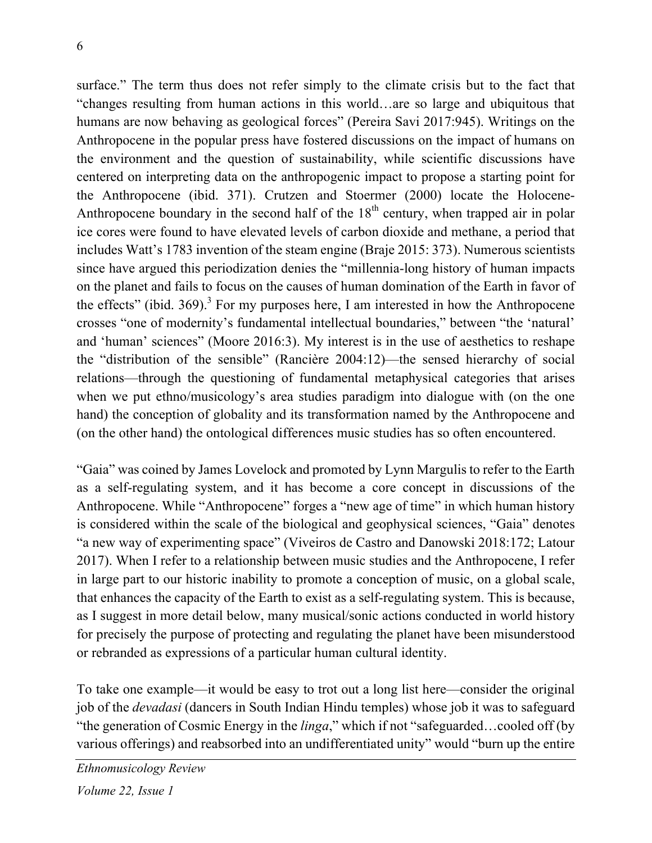surface." The term thus does not refer simply to the climate crisis but to the fact that "changes resulting from human actions in this world…are so large and ubiquitous that humans are now behaving as geological forces" (Pereira Savi 2017:945). Writings on the Anthropocene in the popular press have fostered discussions on the impact of humans on the environment and the question of sustainability, while scientific discussions have centered on interpreting data on the anthropogenic impact to propose a starting point for the Anthropocene (ibid. 371). Crutzen and Stoermer (2000) locate the Holocene-Anthropocene boundary in the second half of the  $18<sup>th</sup>$  century, when trapped air in polar ice cores were found to have elevated levels of carbon dioxide and methane, a period that includes Watt's 1783 invention of the steam engine (Braje 2015: 373). Numerous scientists since have argued this periodization denies the "millennia-long history of human impacts on the planet and fails to focus on the causes of human domination of the Earth in favor of the effects" (ibid. 369).<sup>3</sup> For my purposes here, I am interested in how the Anthropocene crosses "one of modernity's fundamental intellectual boundaries," between "the 'natural' and 'human' sciences" (Moore 2016:3). My interest is in the use of aesthetics to reshape the "distribution of the sensible" (Rancière 2004:12)—the sensed hierarchy of social relations—through the questioning of fundamental metaphysical categories that arises when we put ethno/musicology's area studies paradigm into dialogue with (on the one hand) the conception of globality and its transformation named by the Anthropocene and (on the other hand) the ontological differences music studies has so often encountered.

"Gaia" was coined by James Lovelock and promoted by Lynn Margulis to refer to the Earth as a self-regulating system, and it has become a core concept in discussions of the Anthropocene. While "Anthropocene" forges a "new age of time" in which human history is considered within the scale of the biological and geophysical sciences, "Gaia" denotes "a new way of experimenting space" (Viveiros de Castro and Danowski 2018:172; Latour 2017). When I refer to a relationship between music studies and the Anthropocene, I refer in large part to our historic inability to promote a conception of music, on a global scale, that enhances the capacity of the Earth to exist as a self-regulating system. This is because, as I suggest in more detail below, many musical/sonic actions conducted in world history for precisely the purpose of protecting and regulating the planet have been misunderstood or rebranded as expressions of a particular human cultural identity.

To take one example—it would be easy to trot out a long list here—consider the original job of the *devadasi* (dancers in South Indian Hindu temples) whose job it was to safeguard "the generation of Cosmic Energy in the *linga*," which if not "safeguarded…cooled off (by various offerings) and reabsorbed into an undifferentiated unity" would "burn up the entire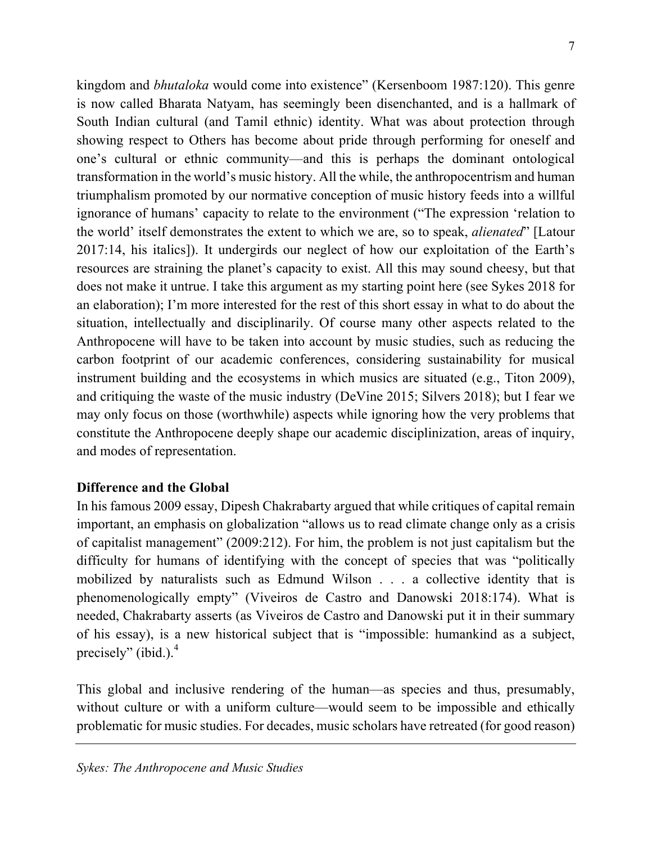kingdom and *bhutaloka* would come into existence" (Kersenboom 1987:120). This genre is now called Bharata Natyam, has seemingly been disenchanted, and is a hallmark of South Indian cultural (and Tamil ethnic) identity. What was about protection through showing respect to Others has become about pride through performing for oneself and one's cultural or ethnic community—and this is perhaps the dominant ontological transformation in the world's music history. All the while, the anthropocentrism and human triumphalism promoted by our normative conception of music history feeds into a willful ignorance of humans' capacity to relate to the environment ("The expression 'relation to the world' itself demonstrates the extent to which we are, so to speak, *alienated*" [Latour 2017:14, his italics]). It undergirds our neglect of how our exploitation of the Earth's resources are straining the planet's capacity to exist. All this may sound cheesy, but that does not make it untrue. I take this argument as my starting point here (see Sykes 2018 for an elaboration); I'm more interested for the rest of this short essay in what to do about the situation, intellectually and disciplinarily. Of course many other aspects related to the Anthropocene will have to be taken into account by music studies, such as reducing the carbon footprint of our academic conferences, considering sustainability for musical instrument building and the ecosystems in which musics are situated (e.g., Titon 2009), and critiquing the waste of the music industry (DeVine 2015; Silvers 2018); but I fear we may only focus on those (worthwhile) aspects while ignoring how the very problems that constitute the Anthropocene deeply shape our academic disciplinization, areas of inquiry, and modes of representation.

### **Difference and the Global**

In his famous 2009 essay, Dipesh Chakrabarty argued that while critiques of capital remain important, an emphasis on globalization "allows us to read climate change only as a crisis of capitalist management" (2009:212). For him, the problem is not just capitalism but the difficulty for humans of identifying with the concept of species that was "politically mobilized by naturalists such as Edmund Wilson . . . a collective identity that is phenomenologically empty" (Viveiros de Castro and Danowski 2018:174). What is needed, Chakrabarty asserts (as Viveiros de Castro and Danowski put it in their summary of his essay), is a new historical subject that is "impossible: humankind as a subject, precisely" (ibid.). $<sup>4</sup>$ </sup>

This global and inclusive rendering of the human—as species and thus, presumably, without culture or with a uniform culture—would seem to be impossible and ethically problematic for music studies. For decades, music scholars have retreated (for good reason)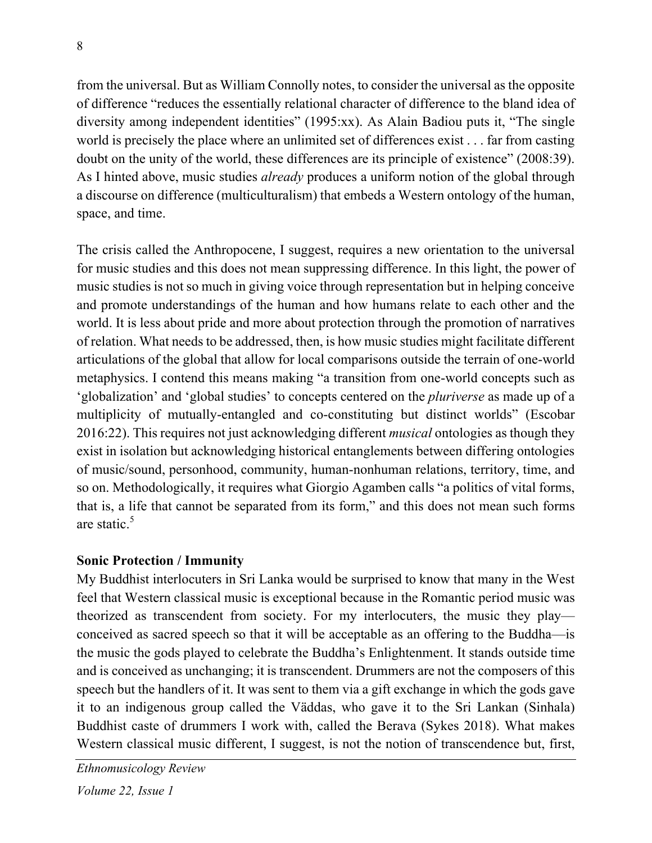from the universal. But as William Connolly notes, to consider the universal as the opposite of difference "reduces the essentially relational character of difference to the bland idea of diversity among independent identities" (1995:xx). As Alain Badiou puts it, "The single world is precisely the place where an unlimited set of differences exist . . . far from casting doubt on the unity of the world, these differences are its principle of existence" (2008:39). As I hinted above, music studies *already* produces a uniform notion of the global through a discourse on difference (multiculturalism) that embeds a Western ontology of the human, space, and time.

The crisis called the Anthropocene, I suggest, requires a new orientation to the universal for music studies and this does not mean suppressing difference. In this light, the power of music studies is not so much in giving voice through representation but in helping conceive and promote understandings of the human and how humans relate to each other and the world. It is less about pride and more about protection through the promotion of narratives of relation. What needs to be addressed, then, is how music studies might facilitate different articulations of the global that allow for local comparisons outside the terrain of one-world metaphysics. I contend this means making "a transition from one-world concepts such as 'globalization' and 'global studies' to concepts centered on the *pluriverse* as made up of a multiplicity of mutually-entangled and co-constituting but distinct worlds" (Escobar 2016:22). This requires not just acknowledging different *musical* ontologies as though they exist in isolation but acknowledging historical entanglements between differing ontologies of music/sound, personhood, community, human-nonhuman relations, territory, time, and so on. Methodologically, it requires what Giorgio Agamben calls "a politics of vital forms, that is, a life that cannot be separated from its form," and this does not mean such forms are static. $5$ 

## **Sonic Protection / Immunity**

My Buddhist interlocuters in Sri Lanka would be surprised to know that many in the West feel that Western classical music is exceptional because in the Romantic period music was theorized as transcendent from society. For my interlocuters, the music they play conceived as sacred speech so that it will be acceptable as an offering to the Buddha—is the music the gods played to celebrate the Buddha's Enlightenment. It stands outside time and is conceived as unchanging; it is transcendent. Drummers are not the composers of this speech but the handlers of it. It was sent to them via a gift exchange in which the gods gave it to an indigenous group called the Väddas, who gave it to the Sri Lankan (Sinhala) Buddhist caste of drummers I work with, called the Berava (Sykes 2018). What makes Western classical music different, I suggest, is not the notion of transcendence but, first,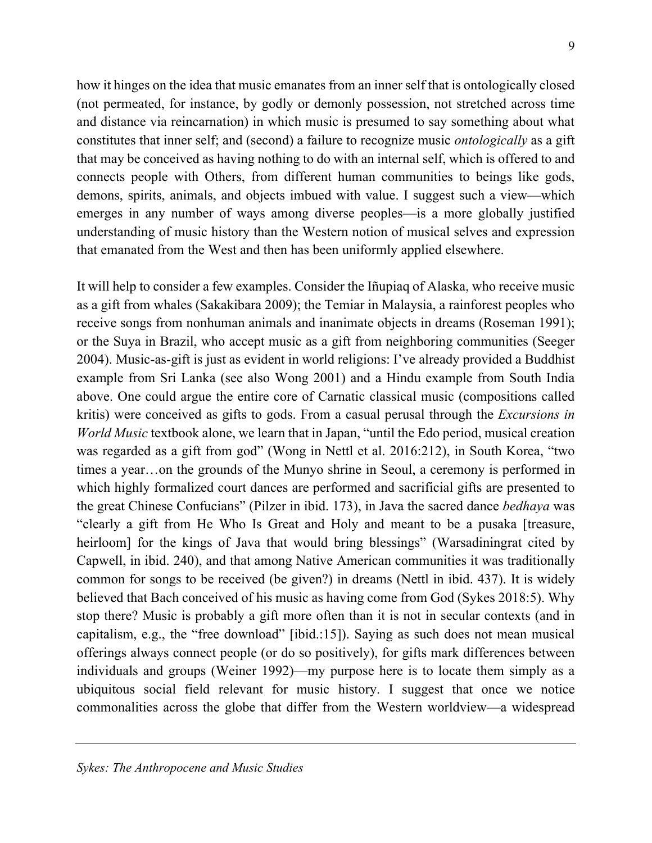how it hinges on the idea that music emanates from an inner self that is ontologically closed (not permeated, for instance, by godly or demonly possession, not stretched across time and distance via reincarnation) in which music is presumed to say something about what constitutes that inner self; and (second) a failure to recognize music *ontologically* as a gift that may be conceived as having nothing to do with an internal self, which is offered to and connects people with Others, from different human communities to beings like gods, demons, spirits, animals, and objects imbued with value. I suggest such a view—which emerges in any number of ways among diverse peoples—is a more globally justified understanding of music history than the Western notion of musical selves and expression that emanated from the West and then has been uniformly applied elsewhere.

It will help to consider a few examples. Consider the Iñupiaq of Alaska, who receive music as a gift from whales (Sakakibara 2009); the Temiar in Malaysia, a rainforest peoples who receive songs from nonhuman animals and inanimate objects in dreams (Roseman 1991); or the Suya in Brazil, who accept music as a gift from neighboring communities (Seeger 2004). Music-as-gift is just as evident in world religions: I've already provided a Buddhist example from Sri Lanka (see also Wong 2001) and a Hindu example from South India above. One could argue the entire core of Carnatic classical music (compositions called kritis) were conceived as gifts to gods. From a casual perusal through the *Excursions in World Music* textbook alone, we learn that in Japan, "until the Edo period, musical creation was regarded as a gift from god" (Wong in Nettl et al. 2016:212), in South Korea, "two times a year…on the grounds of the Munyo shrine in Seoul, a ceremony is performed in which highly formalized court dances are performed and sacrificial gifts are presented to the great Chinese Confucians" (Pilzer in ibid. 173), in Java the sacred dance *bedhaya* was "clearly a gift from He Who Is Great and Holy and meant to be a pusaka [treasure, heirloom] for the kings of Java that would bring blessings" (Warsadiningrat cited by Capwell, in ibid. 240), and that among Native American communities it was traditionally common for songs to be received (be given?) in dreams (Nettl in ibid. 437). It is widely believed that Bach conceived of his music as having come from God (Sykes 2018:5). Why stop there? Music is probably a gift more often than it is not in secular contexts (and in capitalism, e.g., the "free download" [ibid.:15]). Saying as such does not mean musical offerings always connect people (or do so positively), for gifts mark differences between individuals and groups (Weiner 1992)—my purpose here is to locate them simply as a ubiquitous social field relevant for music history. I suggest that once we notice commonalities across the globe that differ from the Western worldview—a widespread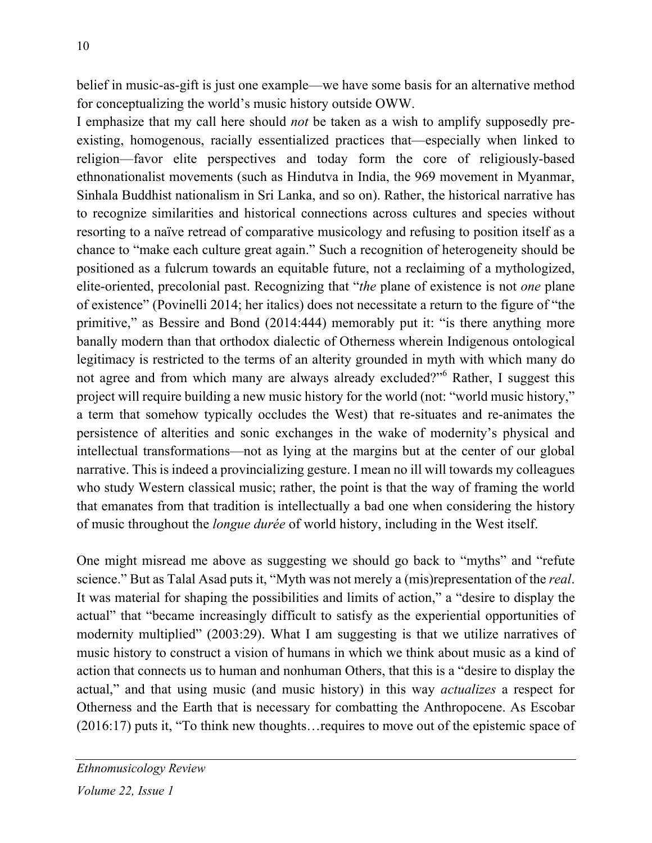belief in music-as-gift is just one example—we have some basis for an alternative method for conceptualizing the world's music history outside OWW.

I emphasize that my call here should *not* be taken as a wish to amplify supposedly preexisting, homogenous, racially essentialized practices that—especially when linked to religion—favor elite perspectives and today form the core of religiously-based ethnonationalist movements (such as Hindutva in India, the 969 movement in Myanmar, Sinhala Buddhist nationalism in Sri Lanka, and so on). Rather, the historical narrative has to recognize similarities and historical connections across cultures and species without resorting to a naïve retread of comparative musicology and refusing to position itself as a chance to "make each culture great again." Such a recognition of heterogeneity should be positioned as a fulcrum towards an equitable future, not a reclaiming of a mythologized, elite-oriented, precolonial past. Recognizing that "*the* plane of existence is not *one* plane of existence" (Povinelli 2014; her italics) does not necessitate a return to the figure of "the primitive," as Bessire and Bond (2014:444) memorably put it: "is there anything more banally modern than that orthodox dialectic of Otherness wherein Indigenous ontological legitimacy is restricted to the terms of an alterity grounded in myth with which many do not agree and from which many are always already excluded?"<sup>6</sup> Rather, I suggest this project will require building a new music history for the world (not: "world music history," a term that somehow typically occludes the West) that re-situates and re-animates the persistence of alterities and sonic exchanges in the wake of modernity's physical and intellectual transformations—not as lying at the margins but at the center of our global narrative. This is indeed a provincializing gesture. I mean no ill will towards my colleagues who study Western classical music; rather, the point is that the way of framing the world that emanates from that tradition is intellectually a bad one when considering the history of music throughout the *longue durée* of world history, including in the West itself.

One might misread me above as suggesting we should go back to "myths" and "refute science." But as Talal Asad puts it, "Myth was not merely a (mis)representation of the *real*. It was material for shaping the possibilities and limits of action," a "desire to display the actual" that "became increasingly difficult to satisfy as the experiential opportunities of modernity multiplied" (2003:29). What I am suggesting is that we utilize narratives of music history to construct a vision of humans in which we think about music as a kind of action that connects us to human and nonhuman Others, that this is a "desire to display the actual," and that using music (and music history) in this way *actualizes* a respect for Otherness and the Earth that is necessary for combatting the Anthropocene. As Escobar (2016:17) puts it, "To think new thoughts…requires to move out of the epistemic space of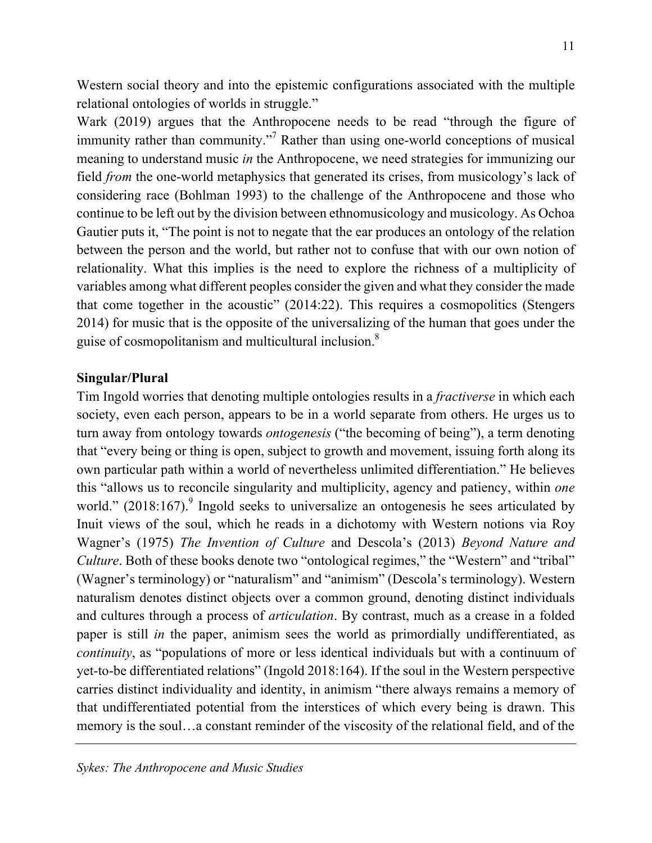Western social theory and into the epistemic configurations associated with the multiple relational ontologies of worlds in struggle."

Wark (2019) argues that the Anthropocene needs to be read "through the figure of immunity rather than community."<sup>7</sup> Rather than using one-world conceptions of musical meaning to understand music *in* the Anthropocene, we need strategies for immunizing our field *from* the one-world metaphysics that generated its crises, from musicology's lack of considering race (Bohlman 1993) to the challenge of the Anthropocene and those who continue to be left out by the division between ethnomusicology and musicology. As Ochoa Gautier puts it, "The point is not to negate that the ear produces an ontology of the relation between the person and the world, but rather not to confuse that with our own notion of relationality. What this implies is the need to explore the richness of a multiplicity of variables among what different peoples consider the given and what they consider the made that come together in the acoustic" (2014:22). This requires a cosmopolitics (Stengers 2014) for music that is the opposite of the universalizing of the human that goes under the guise of cosmopolitanism and multicultural inclusion.8

#### **Singular/Plural**

Tim Ingold worries that denoting multiple ontologies results in a *fractiverse* in which each society, even each person, appears to be in a world separate from others. He urges us to turn away from ontology towards *ontogenesis* ("the becoming of being"), a term denoting that "every being or thing is open, subject to growth and movement, issuing forth along its own particular path within a world of nevertheless unlimited differentiation." He believes this "allows us to reconcile singularity and multiplicity, agency and patiency, within *one* world."  $(2018:167)$ . Ingold seeks to universalize an ontogenesis he sees articulated by Inuit views of the soul, which he reads in a dichotomy with Western notions via Roy Wagner's (1975) *The Invention of Culture* and Descola's (2013) *Beyond Nature and Culture*. Both of these books denote two "ontological regimes," the "Western" and "tribal" (Wagner's terminology) or "naturalism" and "animism" (Descola's terminology). Western naturalism denotes distinct objects over a common ground, denoting distinct individuals and cultures through a process of *articulation*. By contrast, much as a crease in a folded paper is still *in* the paper, animism sees the world as primordially undifferentiated, as *continuity*, as "populations of more or less identical individuals but with a continuum of yet-to-be differentiated relations" (Ingold 2018:164). If the soul in the Western perspective carries distinct individuality and identity, in animism "there always remains a memory of that undifferentiated potential from the interstices of which every being is drawn. This memory is the soul…a constant reminder of the viscosity of the relational field, and of the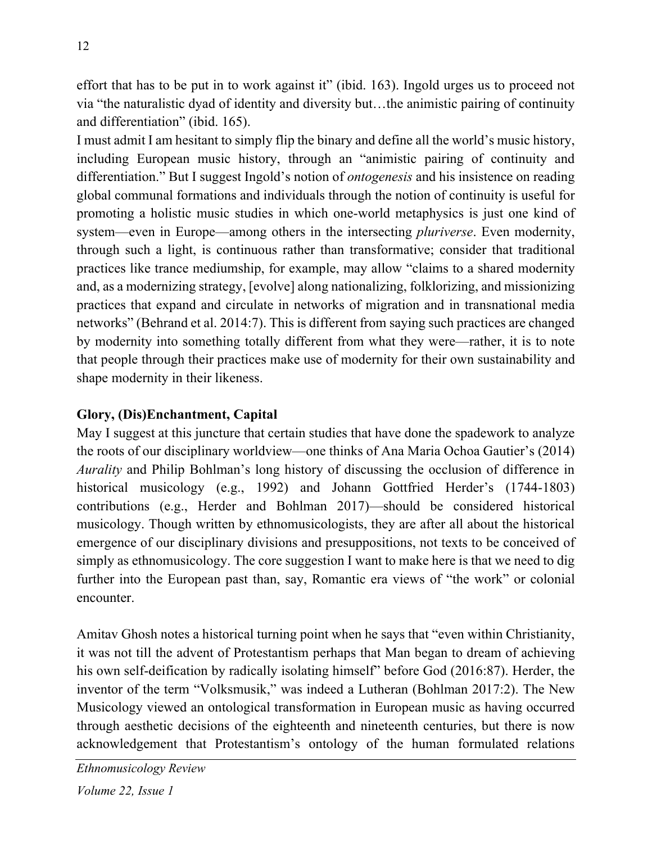effort that has to be put in to work against it" (ibid. 163). Ingold urges us to proceed not via "the naturalistic dyad of identity and diversity but…the animistic pairing of continuity and differentiation" (ibid. 165).

I must admit I am hesitant to simply flip the binary and define all the world's music history, including European music history, through an "animistic pairing of continuity and differentiation." But I suggest Ingold's notion of *ontogenesis* and his insistence on reading global communal formations and individuals through the notion of continuity is useful for promoting a holistic music studies in which one-world metaphysics is just one kind of system—even in Europe—among others in the intersecting *pluriverse*. Even modernity, through such a light, is continuous rather than transformative; consider that traditional practices like trance mediumship, for example, may allow "claims to a shared modernity and, as a modernizing strategy, [evolve] along nationalizing, folklorizing, and missionizing practices that expand and circulate in networks of migration and in transnational media networks" (Behrand et al. 2014:7). This is different from saying such practices are changed by modernity into something totally different from what they were—rather, it is to note that people through their practices make use of modernity for their own sustainability and shape modernity in their likeness.

## **Glory, (Dis)Enchantment, Capital**

May I suggest at this juncture that certain studies that have done the spadework to analyze the roots of our disciplinary worldview—one thinks of Ana Maria Ochoa Gautier's (2014) *Aurality* and Philip Bohlman's long history of discussing the occlusion of difference in historical musicology (e.g., 1992) and Johann Gottfried Herder's (1744-1803) contributions (e.g., Herder and Bohlman 2017)—should be considered historical musicology. Though written by ethnomusicologists, they are after all about the historical emergence of our disciplinary divisions and presuppositions, not texts to be conceived of simply as ethnomusicology. The core suggestion I want to make here is that we need to dig further into the European past than, say, Romantic era views of "the work" or colonial encounter.

Amitav Ghosh notes a historical turning point when he says that "even within Christianity, it was not till the advent of Protestantism perhaps that Man began to dream of achieving his own self-deification by radically isolating himself" before God (2016:87). Herder, the inventor of the term "Volksmusik," was indeed a Lutheran (Bohlman 2017:2). The New Musicology viewed an ontological transformation in European music as having occurred through aesthetic decisions of the eighteenth and nineteenth centuries, but there is now acknowledgement that Protestantism's ontology of the human formulated relations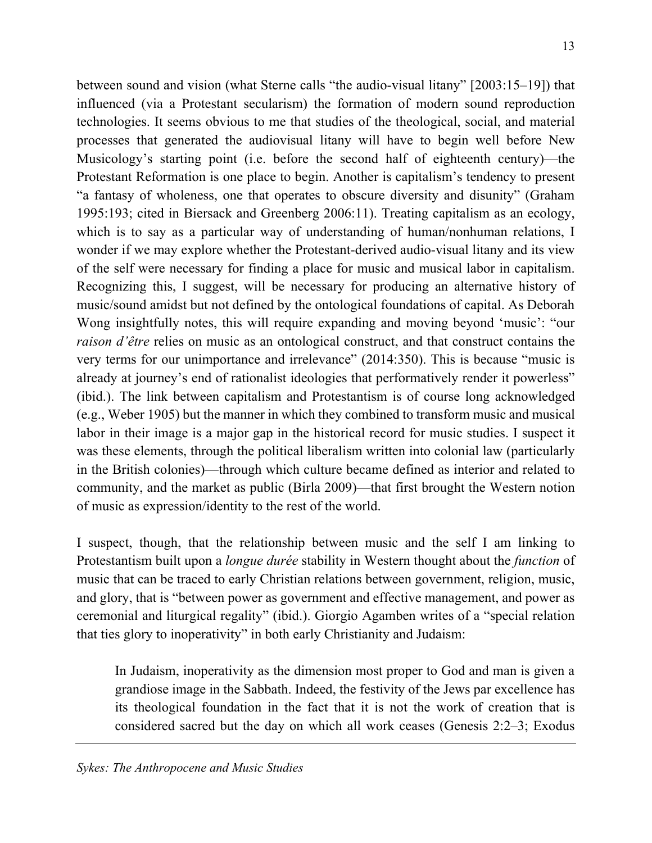between sound and vision (what Sterne calls "the audio-visual litany" [2003:15–19]) that influenced (via a Protestant secularism) the formation of modern sound reproduction technologies. It seems obvious to me that studies of the theological, social, and material processes that generated the audiovisual litany will have to begin well before New Musicology's starting point (i.e. before the second half of eighteenth century)—the Protestant Reformation is one place to begin. Another is capitalism's tendency to present "a fantasy of wholeness, one that operates to obscure diversity and disunity" (Graham 1995:193; cited in Biersack and Greenberg 2006:11). Treating capitalism as an ecology, which is to say as a particular way of understanding of human/nonhuman relations, I wonder if we may explore whether the Protestant-derived audio-visual litany and its view of the self were necessary for finding a place for music and musical labor in capitalism. Recognizing this, I suggest, will be necessary for producing an alternative history of music/sound amidst but not defined by the ontological foundations of capital. As Deborah Wong insightfully notes, this will require expanding and moving beyond 'music': "our *raison d'être* relies on music as an ontological construct, and that construct contains the very terms for our unimportance and irrelevance" (2014:350). This is because "music is already at journey's end of rationalist ideologies that performatively render it powerless" (ibid.). The link between capitalism and Protestantism is of course long acknowledged (e.g., Weber 1905) but the manner in which they combined to transform music and musical labor in their image is a major gap in the historical record for music studies. I suspect it was these elements, through the political liberalism written into colonial law (particularly in the British colonies)—through which culture became defined as interior and related to community, and the market as public (Birla 2009)—that first brought the Western notion of music as expression/identity to the rest of the world.

I suspect, though, that the relationship between music and the self I am linking to Protestantism built upon a *longue durée* stability in Western thought about the *function* of music that can be traced to early Christian relations between government, religion, music, and glory, that is "between power as government and effective management, and power as ceremonial and liturgical regality" (ibid.). Giorgio Agamben writes of a "special relation that ties glory to inoperativity" in both early Christianity and Judaism:

In Judaism, inoperativity as the dimension most proper to God and man is given a grandiose image in the Sabbath. Indeed, the festivity of the Jews par excellence has its theological foundation in the fact that it is not the work of creation that is considered sacred but the day on which all work ceases (Genesis 2:2–3; Exodus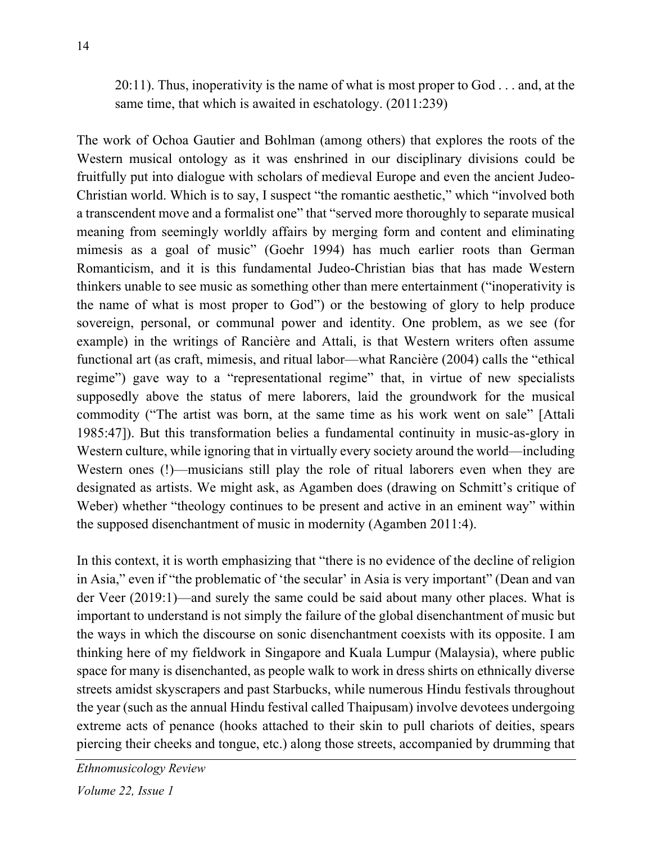20:11). Thus, inoperativity is the name of what is most proper to God . . . and, at the same time, that which is awaited in eschatology. (2011:239)

The work of Ochoa Gautier and Bohlman (among others) that explores the roots of the Western musical ontology as it was enshrined in our disciplinary divisions could be fruitfully put into dialogue with scholars of medieval Europe and even the ancient Judeo-Christian world. Which is to say, I suspect "the romantic aesthetic," which "involved both a transcendent move and a formalist one" that "served more thoroughly to separate musical meaning from seemingly worldly affairs by merging form and content and eliminating mimesis as a goal of music" (Goehr 1994) has much earlier roots than German Romanticism, and it is this fundamental Judeo-Christian bias that has made Western thinkers unable to see music as something other than mere entertainment ("inoperativity is the name of what is most proper to God") or the bestowing of glory to help produce sovereign, personal, or communal power and identity. One problem, as we see (for example) in the writings of Rancière and Attali, is that Western writers often assume functional art (as craft, mimesis, and ritual labor—what Rancière (2004) calls the "ethical regime") gave way to a "representational regime" that, in virtue of new specialists supposedly above the status of mere laborers, laid the groundwork for the musical commodity ("The artist was born, at the same time as his work went on sale" [Attali 1985:47]). But this transformation belies a fundamental continuity in music-as-glory in Western culture, while ignoring that in virtually every society around the world—including Western ones (!)—musicians still play the role of ritual laborers even when they are designated as artists. We might ask, as Agamben does (drawing on Schmitt's critique of Weber) whether "theology continues to be present and active in an eminent way" within the supposed disenchantment of music in modernity (Agamben 2011:4).

In this context, it is worth emphasizing that "there is no evidence of the decline of religion in Asia," even if "the problematic of 'the secular' in Asia is very important" (Dean and van der Veer (2019:1)—and surely the same could be said about many other places. What is important to understand is not simply the failure of the global disenchantment of music but the ways in which the discourse on sonic disenchantment coexists with its opposite. I am thinking here of my fieldwork in Singapore and Kuala Lumpur (Malaysia), where public space for many is disenchanted, as people walk to work in dress shirts on ethnically diverse streets amidst skyscrapers and past Starbucks, while numerous Hindu festivals throughout the year (such as the annual Hindu festival called Thaipusam) involve devotees undergoing extreme acts of penance (hooks attached to their skin to pull chariots of deities, spears piercing their cheeks and tongue, etc.) along those streets, accompanied by drumming that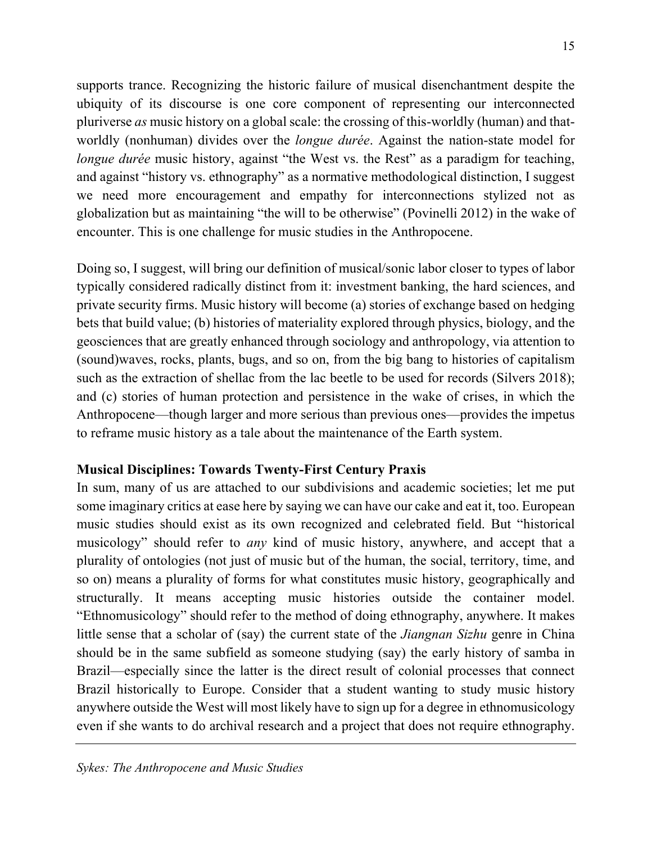supports trance. Recognizing the historic failure of musical disenchantment despite the ubiquity of its discourse is one core component of representing our interconnected pluriverse *as* music history on a global scale: the crossing of this-worldly (human) and thatworldly (nonhuman) divides over the *longue durée*. Against the nation-state model for *longue durée* music history, against "the West vs. the Rest" as a paradigm for teaching, and against "history vs. ethnography" as a normative methodological distinction, I suggest we need more encouragement and empathy for interconnections stylized not as globalization but as maintaining "the will to be otherwise" (Povinelli 2012) in the wake of encounter. This is one challenge for music studies in the Anthropocene.

Doing so, I suggest, will bring our definition of musical/sonic labor closer to types of labor typically considered radically distinct from it: investment banking, the hard sciences, and private security firms. Music history will become (a) stories of exchange based on hedging bets that build value; (b) histories of materiality explored through physics, biology, and the geosciences that are greatly enhanced through sociology and anthropology, via attention to (sound)waves, rocks, plants, bugs, and so on, from the big bang to histories of capitalism such as the extraction of shellac from the lac beetle to be used for records (Silvers 2018); and (c) stories of human protection and persistence in the wake of crises, in which the Anthropocene—though larger and more serious than previous ones—provides the impetus to reframe music history as a tale about the maintenance of the Earth system.

### **Musical Disciplines: Towards Twenty-First Century Praxis**

In sum, many of us are attached to our subdivisions and academic societies; let me put some imaginary critics at ease here by saying we can have our cake and eat it, too. European music studies should exist as its own recognized and celebrated field. But "historical musicology" should refer to *any* kind of music history, anywhere, and accept that a plurality of ontologies (not just of music but of the human, the social, territory, time, and so on) means a plurality of forms for what constitutes music history, geographically and structurally. It means accepting music histories outside the container model. "Ethnomusicology" should refer to the method of doing ethnography, anywhere. It makes little sense that a scholar of (say) the current state of the *Jiangnan Sizhu* genre in China should be in the same subfield as someone studying (say) the early history of samba in Brazil—especially since the latter is the direct result of colonial processes that connect Brazil historically to Europe. Consider that a student wanting to study music history anywhere outside the West will most likely have to sign up for a degree in ethnomusicology even if she wants to do archival research and a project that does not require ethnography.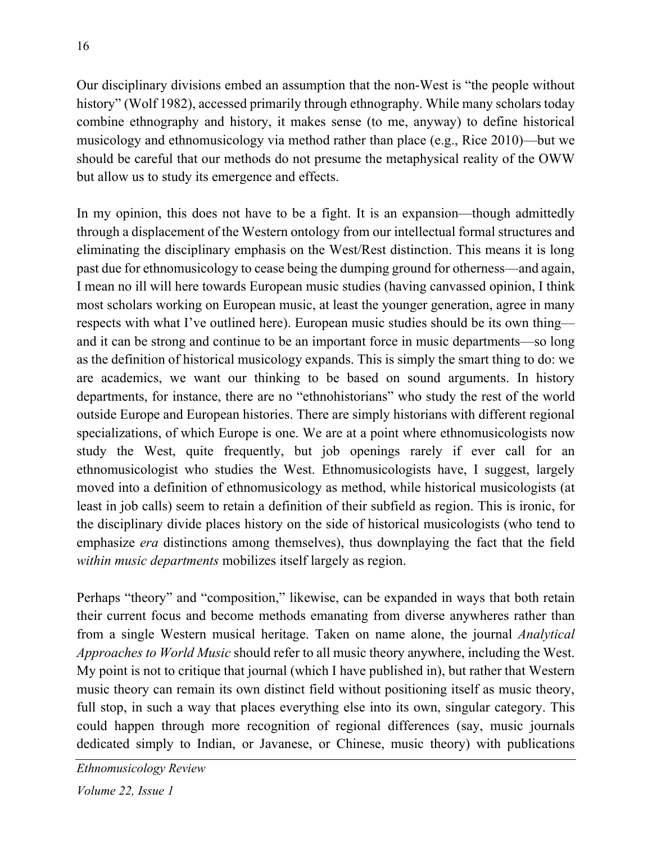Our disciplinary divisions embed an assumption that the non-West is "the people without history" (Wolf 1982), accessed primarily through ethnography. While many scholars today combine ethnography and history, it makes sense (to me, anyway) to define historical musicology and ethnomusicology via method rather than place (e.g., Rice 2010)—but we should be careful that our methods do not presume the metaphysical reality of the OWW but allow us to study its emergence and effects.

In my opinion, this does not have to be a fight. It is an expansion—though admittedly through a displacement of the Western ontology from our intellectual formal structures and eliminating the disciplinary emphasis on the West/Rest distinction. This means it is long past due for ethnomusicology to cease being the dumping ground for otherness—and again, I mean no ill will here towards European music studies (having canvassed opinion, I think most scholars working on European music, at least the younger generation, agree in many respects with what I've outlined here). European music studies should be its own thing and it can be strong and continue to be an important force in music departments—so long as the definition of historical musicology expands. This is simply the smart thing to do: we are academics, we want our thinking to be based on sound arguments. In history departments, for instance, there are no "ethnohistorians" who study the rest of the world outside Europe and European histories. There are simply historians with different regional specializations, of which Europe is one. We are at a point where ethnomusicologists now study the West, quite frequently, but job openings rarely if ever call for an ethnomusicologist who studies the West. Ethnomusicologists have, I suggest, largely moved into a definition of ethnomusicology as method, while historical musicologists (at least in job calls) seem to retain a definition of their subfield as region. This is ironic, for the disciplinary divide places history on the side of historical musicologists (who tend to emphasize *era* distinctions among themselves), thus downplaying the fact that the field *within music departments* mobilizes itself largely as region.

Perhaps "theory" and "composition," likewise, can be expanded in ways that both retain their current focus and become methods emanating from diverse anywheres rather than from a single Western musical heritage. Taken on name alone, the journal *Analytical Approaches to World Music* should refer to all music theory anywhere, including the West. My point is not to critique that journal (which I have published in), but rather that Western music theory can remain its own distinct field without positioning itself as music theory, full stop, in such a way that places everything else into its own, singular category. This could happen through more recognition of regional differences (say, music journals dedicated simply to Indian, or Javanese, or Chinese, music theory) with publications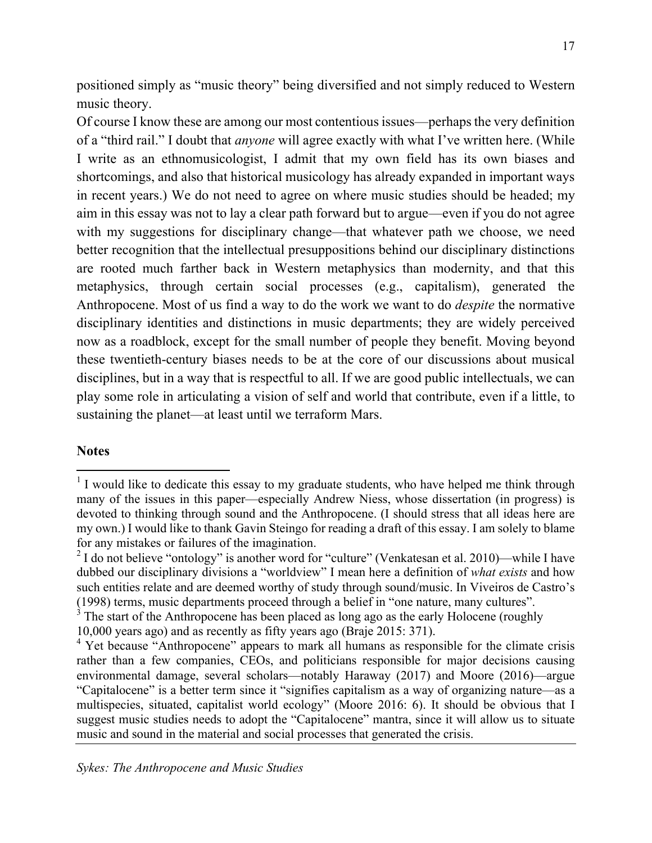positioned simply as "music theory" being diversified and not simply reduced to Western music theory.

Of course I know these are among our most contentious issues—perhaps the very definition of a "third rail." I doubt that *anyone* will agree exactly with what I've written here. (While I write as an ethnomusicologist, I admit that my own field has its own biases and shortcomings, and also that historical musicology has already expanded in important ways in recent years.) We do not need to agree on where music studies should be headed; my aim in this essay was not to lay a clear path forward but to argue—even if you do not agree with my suggestions for disciplinary change—that whatever path we choose, we need better recognition that the intellectual presuppositions behind our disciplinary distinctions are rooted much farther back in Western metaphysics than modernity, and that this metaphysics, through certain social processes (e.g., capitalism), generated the Anthropocene. Most of us find a way to do the work we want to do *despite* the normative disciplinary identities and distinctions in music departments; they are widely perceived now as a roadblock, except for the small number of people they benefit. Moving beyond these twentieth-century biases needs to be at the core of our discussions about musical disciplines, but in a way that is respectful to all. If we are good public intellectuals, we can play some role in articulating a vision of self and world that contribute, even if a little, to sustaining the planet—at least until we terraform Mars.

#### **Notes**

 

 $1$  I would like to dedicate this essay to my graduate students, who have helped me think through many of the issues in this paper—especially Andrew Niess, whose dissertation (in progress) is devoted to thinking through sound and the Anthropocene. (I should stress that all ideas here are my own.) I would like to thank Gavin Steingo for reading a draft of this essay. I am solely to blame for any mistakes or failures of the imagination.

 $2 \text{ I}$  do not believe "ontology" is another word for "culture" (Venkatesan et al. 2010)—while I have dubbed our disciplinary divisions a "worldview" I mean here a definition of *what exists* and how such entities relate and are deemed worthy of study through sound/music. In Viveiros de Castro's (1998) terms, music departments proceed through a belief in "one nature, many cultures".

 $3<sup>3</sup>$  The start of the Anthropocene has been placed as long ago as the early Holocene (roughly 10,000 years ago) and as recently as fifty years ago (Braje 2015: 371).

<sup>&</sup>lt;sup>4</sup> Yet because "Anthropocene" appears to mark all humans as responsible for the climate crisis rather than a few companies, CEOs, and politicians responsible for major decisions causing environmental damage, several scholars—notably Haraway (2017) and Moore (2016)—argue "Capitalocene" is a better term since it "signifies capitalism as a way of organizing nature—as a multispecies, situated, capitalist world ecology" (Moore 2016: 6). It should be obvious that I suggest music studies needs to adopt the "Capitalocene" mantra, since it will allow us to situate music and sound in the material and social processes that generated the crisis.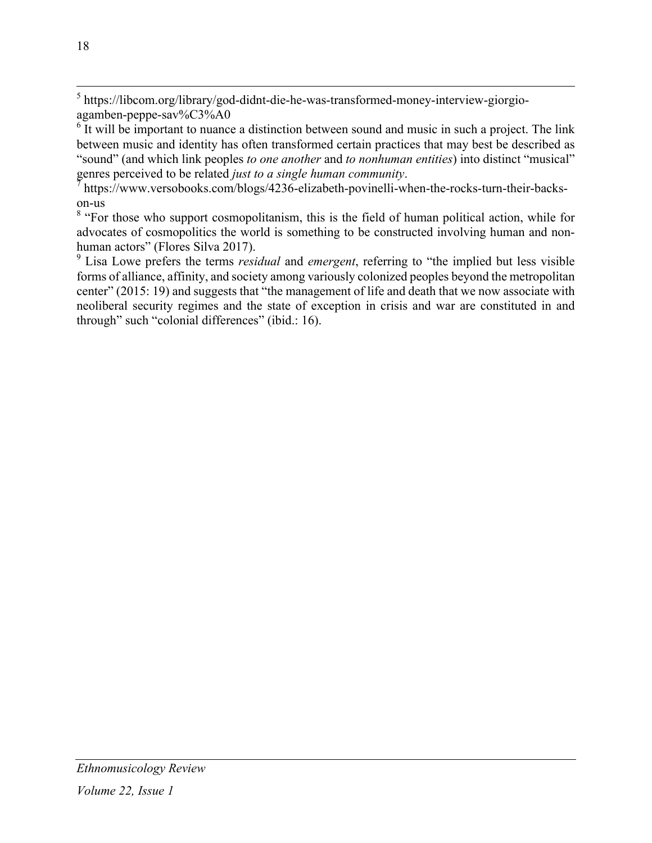<sup>5</sup> https://libcom.org/library/god-didnt-die-he-was-transformed-money-interview-giorgioagamben-peppe-sav%C3%A0

<sup>6</sup> It will be important to nuance a distinction between sound and music in such a project. The link between music and identity has often transformed certain practices that may best be described as "sound" (and which link peoples *to one another* and *to nonhuman entities*) into distinct "musical" genres perceived to be related *just to a single human community*.<br><sup>7</sup> https://www.versobooks.com/blogs/4236-elizabeth-povinelli-when-the-rocks-turn-their-backs-

on-us

<sup>8</sup> "For those who support cosmopolitanism, this is the field of human political action, while for advocates of cosmopolitics the world is something to be constructed involving human and nonhuman actors" (Flores Silva 2017).

<sup>9</sup> Lisa Lowe prefers the terms *residual* and *emergent*, referring to "the implied but less visible forms of alliance, affinity, and society among variously colonized peoples beyond the metropolitan center" (2015: 19) and suggests that "the management of life and death that we now associate with neoliberal security regimes and the state of exception in crisis and war are constituted in and through" such "colonial differences" (ibid.: 16).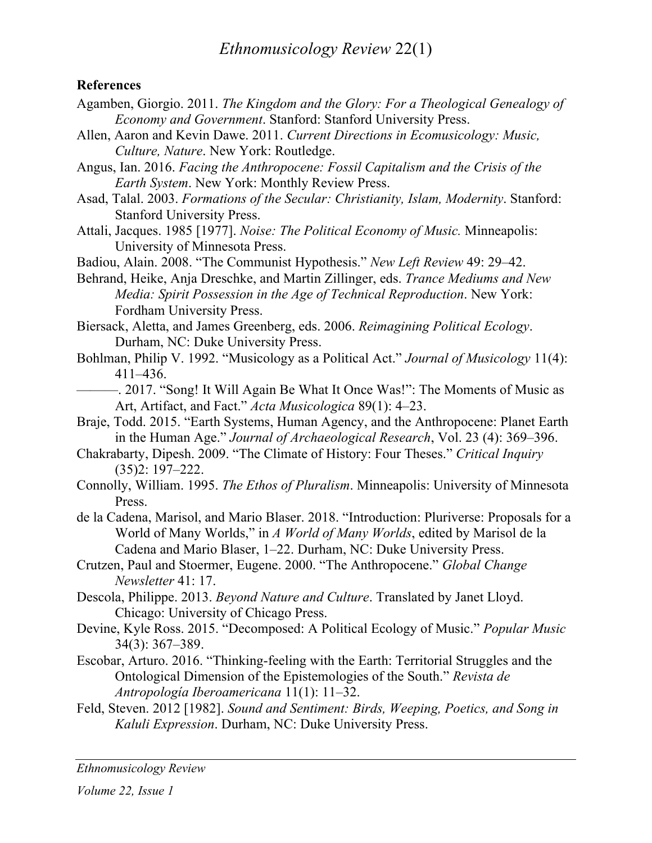#### **References**

- Agamben, Giorgio. 2011. *The Kingdom and the Glory: For a Theological Genealogy of Economy and Government*. Stanford: Stanford University Press.
- Allen, Aaron and Kevin Dawe. 2011. *Current Directions in Ecomusicology: Music, Culture, Nature*. New York: Routledge.
- Angus, Ian. 2016. *Facing the Anthropocene: Fossil Capitalism and the Crisis of the Earth System*. New York: Monthly Review Press.
- Asad, Talal. 2003. *Formations of the Secular: Christianity, Islam, Modernity*. Stanford: Stanford University Press.
- Attali, Jacques. 1985 [1977]. *Noise: The Political Economy of Music.* Minneapolis: University of Minnesota Press.
- Badiou, Alain. 2008. "The Communist Hypothesis." *New Left Review* 49: 29–42.
- Behrand, Heike, Anja Dreschke, and Martin Zillinger, eds. *Trance Mediums and New Media: Spirit Possession in the Age of Technical Reproduction*. New York: Fordham University Press.
- Biersack, Aletta, and James Greenberg, eds. 2006. *Reimagining Political Ecology*. Durham, NC: Duke University Press.
- Bohlman, Philip V. 1992. "Musicology as a Political Act." *Journal of Musicology* 11(4): 411–436.
- ———. 2017. "Song! It Will Again Be What It Once Was!": The Moments of Music as Art, Artifact, and Fact." *Acta Musicologica* 89(1): 4–23.
- Braje, Todd. 2015. "Earth Systems, Human Agency, and the Anthropocene: Planet Earth in the Human Age." *Journal of Archaeological Research*, Vol. 23 (4): 369–396.
- Chakrabarty, Dipesh. 2009. "The Climate of History: Four Theses." *Critical Inquiry* (35)2: 197–222.
- Connolly, William. 1995. *The Ethos of Pluralism*. Minneapolis: University of Minnesota Press.
- de la Cadena, Marisol, and Mario Blaser. 2018. "Introduction: Pluriverse: Proposals for a World of Many Worlds," in *A World of Many Worlds*, edited by Marisol de la Cadena and Mario Blaser, 1–22. Durham, NC: Duke University Press.
- Crutzen, Paul and Stoermer, Eugene. 2000. "The Anthropocene." *Global Change Newsletter* 41: 17.
- Descola, Philippe. 2013. *Beyond Nature and Culture*. Translated by Janet Lloyd. Chicago: University of Chicago Press.
- Devine, Kyle Ross. 2015. "Decomposed: A Political Ecology of Music." *Popular Music* 34(3): 367–389.
- Escobar, Arturo. 2016. "Thinking-feeling with the Earth: Territorial Struggles and the Ontological Dimension of the Epistemologies of the South." *Revista de Antropología Iberoamericana* 11(1): 11–32.
- Feld, Steven. 2012 [1982]. *Sound and Sentiment: Birds, Weeping, Poetics, and Song in Kaluli Expression*. Durham, NC: Duke University Press.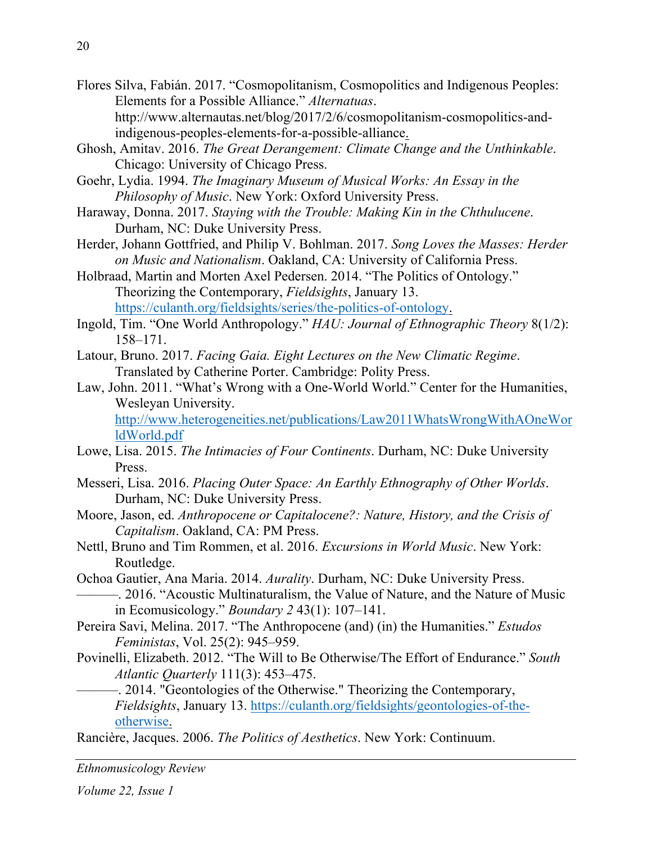- Flores Silva, Fabián. 2017. "Cosmopolitanism, Cosmopolitics and Indigenous Peoples: Elements for a Possible Alliance." *Alternatuas*. http://www.alternautas.net/blog/2017/2/6/cosmopolitanism-cosmopolitics-andindigenous-peoples-elements-for-a-possible-alliance.
- Ghosh, Amitav. 2016. *The Great Derangement: Climate Change and the Unthinkable*. Chicago: University of Chicago Press.
- Goehr, Lydia. 1994. *The Imaginary Museum of Musical Works: An Essay in the Philosophy of Music*. New York: Oxford University Press.
- Haraway, Donna. 2017. *Staying with the Trouble: Making Kin in the Chthulucene*. Durham, NC: Duke University Press.
- Herder, Johann Gottfried, and Philip V. Bohlman. 2017. *Song Loves the Masses: Herder on Music and Nationalism*. Oakland, CA: University of California Press.
- Holbraad, Martin and Morten Axel Pedersen. 2014. "The Politics of Ontology." Theorizing the Contemporary, *Fieldsights*, January 13. https://culanth.org/fieldsights/series/the-politics-of-ontology.
- Ingold, Tim. "One World Anthropology." *HAU: Journal of Ethnographic Theory* 8(1/2): 158–171.
- Latour, Bruno. 2017. *Facing Gaia. Eight Lectures on the New Climatic Regime*. Translated by Catherine Porter. Cambridge: Polity Press.
- Law, John. 2011. "What's Wrong with a One-World World." Center for the Humanities, Wesleyan University.

http://www.heterogeneities.net/publications/Law2011WhatsWrongWithAOneWor ldWorld.pdf

- Lowe, Lisa. 2015. *The Intimacies of Four Continents*. Durham, NC: Duke University Press.
- Messeri, Lisa. 2016. *Placing Outer Space: An Earthly Ethnography of Other Worlds*. Durham, NC: Duke University Press.
- Moore, Jason, ed. *Anthropocene or Capitalocene?: Nature, History, and the Crisis of Capitalism*. Oakland, CA: PM Press.
- Nettl, Bruno and Tim Rommen, et al. 2016. *Excursions in World Music*. New York: Routledge.
- Ochoa Gautier, Ana Maria. 2014. *Aurality*. Durham, NC: Duke University Press. ———. 2016. "Acoustic Multinaturalism, the Value of Nature, and the Nature of Music in Ecomusicology." *Boundary 2* 43(1): 107–141.
- Pereira Savi, Melina. 2017. "The Anthropocene (and) (in) the Humanities." *Estudos Feministas*, Vol. 25(2): 945–959.
- Povinelli, Elizabeth. 2012. "The Will to Be Otherwise/The Effort of Endurance." *South Atlantic Quarterly* 111(3): 453–475.
	- ———. 2014. "Geontologies of the Otherwise." Theorizing the Contemporary, *Fieldsights*, January 13. https://culanth.org/fieldsights/geontologies-of-theotherwise.

Rancière, Jacques. 2006. *The Politics of Aesthetics*. New York: Continuum.